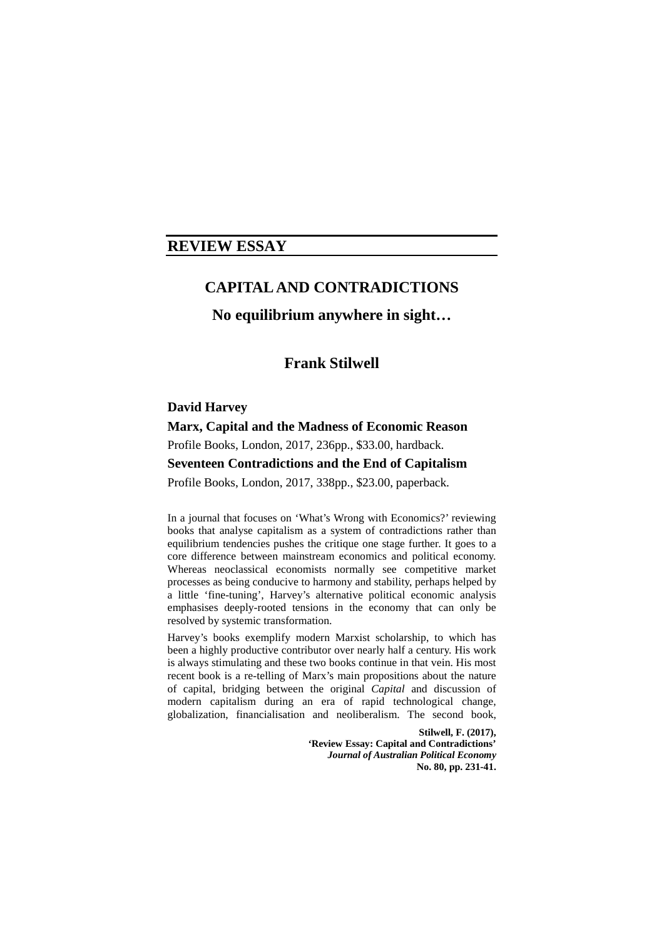# **REVIEW ESSAY**

# **CAPITAL AND CONTRADICTIONS**

# **No equilibrium anywhere in sight…**

# **Frank Stilwell**

# **David Harvey**

# **Marx, Capital and the Madness of Economic Reason**

Profile Books, London, 2017, 236pp., \$33.00, hardback.

# **Seventeen Contradictions and the End of Capitalism**

Profile Books, London, 2017, 338pp., \$23.00, paperback.

In a journal that focuses on 'What's Wrong with Economics?' reviewing books that analyse capitalism as a system of contradictions rather than equilibrium tendencies pushes the critique one stage further. It goes to a core difference between mainstream economics and political economy. Whereas neoclassical economists normally see competitive market processes as being conducive to harmony and stability, perhaps helped by a little 'fine-tuning', Harvey's alternative political economic analysis emphasises deeply-rooted tensions in the economy that can only be resolved by systemic transformation.

Harvey's books exemplify modern Marxist scholarship, to which has been a highly productive contributor over nearly half a century. His work is always stimulating and these two books continue in that vein. His most recent book is a re-telling of Marx's main propositions about the nature of capital, bridging between the original *Capital* and discussion of modern capitalism during an era of rapid technological change, globalization, financialisation and neoliberalism. The second book,

> **Stilwell, F. (2017), 'Review Essay: Capital and Contradictions'**  *Journal of Australian Political Economy* **No. 80, pp. 231-41.**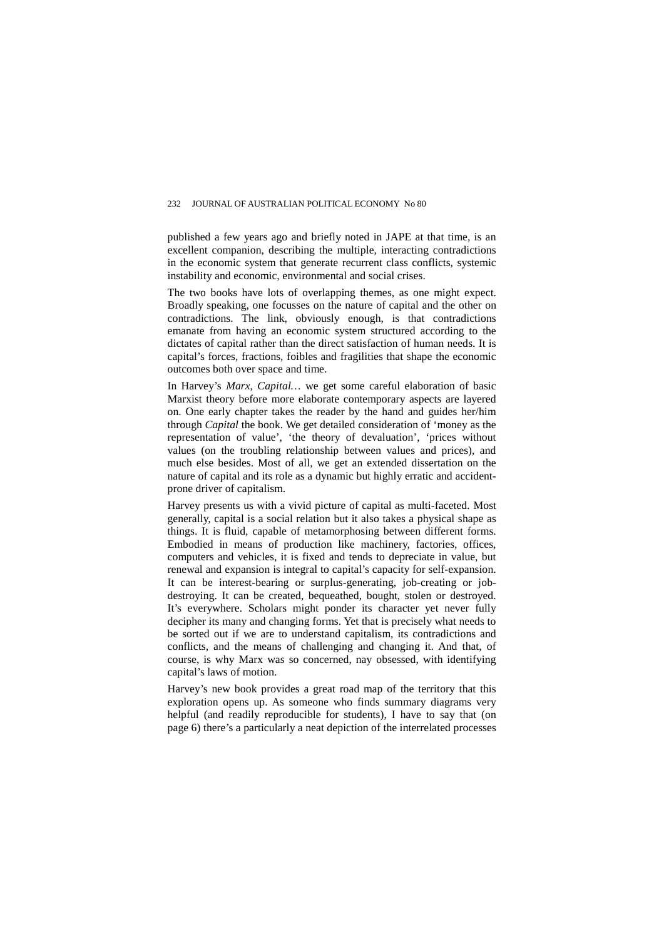published a few years ago and briefly noted in JAPE at that time, is an excellent companion, describing the multiple, interacting contradictions in the economic system that generate recurrent class conflicts, systemic instability and economic, environmental and social crises.

The two books have lots of overlapping themes, as one might expect. Broadly speaking, one focusses on the nature of capital and the other on contradictions. The link, obviously enough, is that contradictions emanate from having an economic system structured according to the dictates of capital rather than the direct satisfaction of human needs. It is capital's forces, fractions, foibles and fragilities that shape the economic outcomes both over space and time.

In Harvey's *Marx, Capital…* we get some careful elaboration of basic Marxist theory before more elaborate contemporary aspects are layered on. One early chapter takes the reader by the hand and guides her/him through *Capital* the book. We get detailed consideration of 'money as the representation of value', 'the theory of devaluation', 'prices without values (on the troubling relationship between values and prices), and much else besides. Most of all, we get an extended dissertation on the nature of capital and its role as a dynamic but highly erratic and accidentprone driver of capitalism.

Harvey presents us with a vivid picture of capital as multi-faceted. Most generally, capital is a social relation but it also takes a physical shape as things. It is fluid, capable of metamorphosing between different forms. Embodied in means of production like machinery, factories, offices, computers and vehicles, it is fixed and tends to depreciate in value, but renewal and expansion is integral to capital's capacity for self-expansion. It can be interest-bearing or surplus-generating, job-creating or jobdestroying. It can be created, bequeathed, bought, stolen or destroyed. It's everywhere. Scholars might ponder its character yet never fully decipher its many and changing forms. Yet that is precisely what needs to be sorted out if we are to understand capitalism, its contradictions and conflicts, and the means of challenging and changing it. And that, of course, is why Marx was so concerned, nay obsessed, with identifying capital's laws of motion.

Harvey's new book provides a great road map of the territory that this exploration opens up. As someone who finds summary diagrams very helpful (and readily reproducible for students), I have to say that (on page 6) there's a particularly a neat depiction of the interrelated processes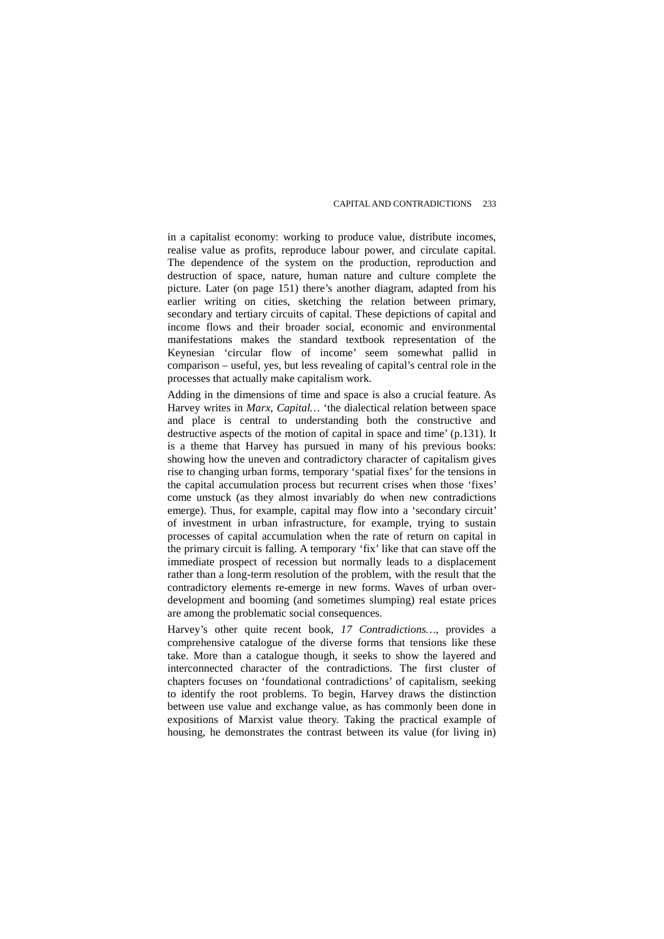in a capitalist economy: working to produce value, distribute incomes, realise value as profits, reproduce labour power, and circulate capital. The dependence of the system on the production, reproduction and destruction of space, nature, human nature and culture complete the picture. Later (on page 151) there's another diagram, adapted from his earlier writing on cities, sketching the relation between primary, secondary and tertiary circuits of capital. These depictions of capital and income flows and their broader social, economic and environmental manifestations makes the standard textbook representation of the Keynesian 'circular flow of income' seem somewhat pallid in comparison – useful, yes, but less revealing of capital's central role in the processes that actually make capitalism work.

Adding in the dimensions of time and space is also a crucial feature. As Harvey writes in *Marx, Capital…* 'the dialectical relation between space and place is central to understanding both the constructive and destructive aspects of the motion of capital in space and time' (p.131). It is a theme that Harvey has pursued in many of his previous books: showing how the uneven and contradictory character of capitalism gives rise to changing urban forms, temporary 'spatial fixes' for the tensions in the capital accumulation process but recurrent crises when those 'fixes' come unstuck (as they almost invariably do when new contradictions emerge). Thus, for example, capital may flow into a 'secondary circuit' of investment in urban infrastructure, for example, trying to sustain processes of capital accumulation when the rate of return on capital in the primary circuit is falling. A temporary 'fix' like that can stave off the immediate prospect of recession but normally leads to a displacement rather than a long-term resolution of the problem, with the result that the contradictory elements re-emerge in new forms. Waves of urban overdevelopment and booming (and sometimes slumping) real estate prices are among the problematic social consequences.

Harvey's other quite recent book, *17 Contradictions…*, provides a comprehensive catalogue of the diverse forms that tensions like these take. More than a catalogue though, it seeks to show the layered and interconnected character of the contradictions. The first cluster of chapters focuses on 'foundational contradictions' of capitalism, seeking to identify the root problems. To begin, Harvey draws the distinction between use value and exchange value, as has commonly been done in expositions of Marxist value theory. Taking the practical example of housing, he demonstrates the contrast between its value (for living in)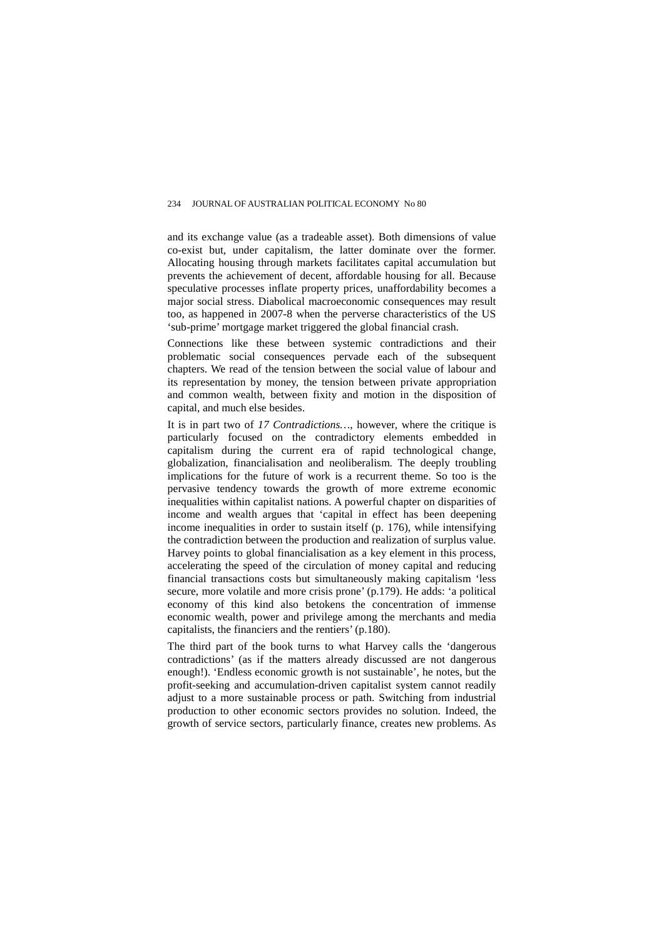and its exchange value (as a tradeable asset). Both dimensions of value co-exist but, under capitalism, the latter dominate over the former. Allocating housing through markets facilitates capital accumulation but prevents the achievement of decent, affordable housing for all. Because speculative processes inflate property prices, unaffordability becomes a major social stress. Diabolical macroeconomic consequences may result too, as happened in 2007-8 when the perverse characteristics of the US 'sub-prime' mortgage market triggered the global financial crash.

Connections like these between systemic contradictions and their problematic social consequences pervade each of the subsequent chapters. We read of the tension between the social value of labour and its representation by money, the tension between private appropriation and common wealth, between fixity and motion in the disposition of capital, and much else besides.

It is in part two of *17 Contradictions…*, however, where the critique is particularly focused on the contradictory elements embedded in capitalism during the current era of rapid technological change, globalization, financialisation and neoliberalism. The deeply troubling implications for the future of work is a recurrent theme. So too is the pervasive tendency towards the growth of more extreme economic inequalities within capitalist nations. A powerful chapter on disparities of income and wealth argues that 'capital in effect has been deepening income inequalities in order to sustain itself (p. 176), while intensifying the contradiction between the production and realization of surplus value. Harvey points to global financialisation as a key element in this process, accelerating the speed of the circulation of money capital and reducing financial transactions costs but simultaneously making capitalism 'less secure, more volatile and more crisis prone' (p.179). He adds: 'a political economy of this kind also betokens the concentration of immense economic wealth, power and privilege among the merchants and media capitalists, the financiers and the rentiers' (p.180).

The third part of the book turns to what Harvey calls the 'dangerous contradictions' (as if the matters already discussed are not dangerous enough!). 'Endless economic growth is not sustainable', he notes, but the profit-seeking and accumulation-driven capitalist system cannot readily adjust to a more sustainable process or path. Switching from industrial production to other economic sectors provides no solution. Indeed, the growth of service sectors, particularly finance, creates new problems. As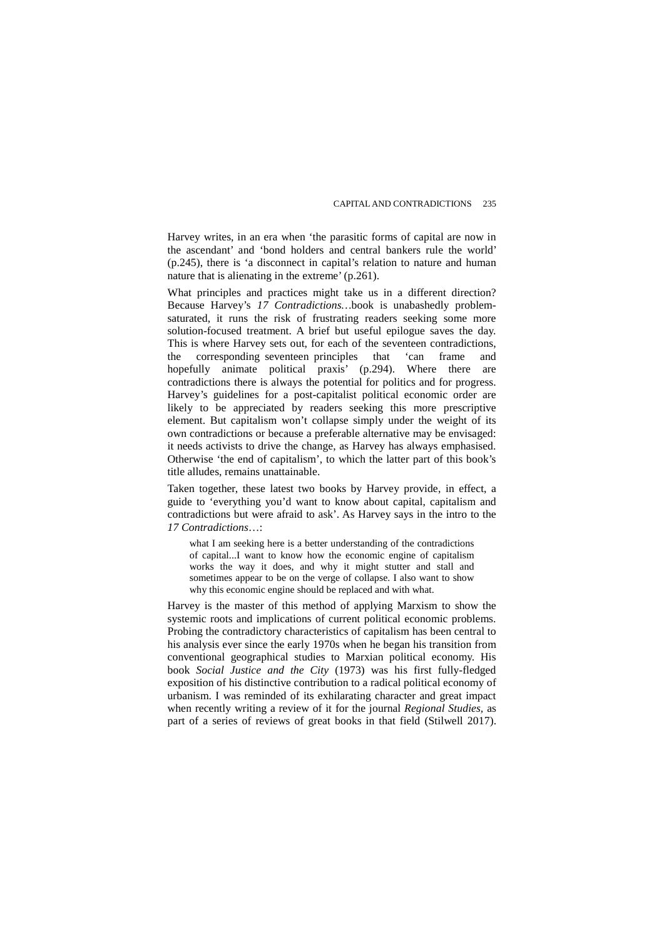Harvey writes, in an era when 'the parasitic forms of capital are now in the ascendant' and 'bond holders and central bankers rule the world' (p.245), there is 'a disconnect in capital's relation to nature and human nature that is alienating in the extreme' (p.261).

What principles and practices might take us in a different direction? Because Harvey's *17 Contradictions…*book is unabashedly problemsaturated, it runs the risk of frustrating readers seeking some more solution-focused treatment. A brief but useful epilogue saves the day. This is where Harvey sets out, for each of the seventeen contradictions, the corresponding seventeen principles that 'can frame and hopefully animate political praxis' (p.294). Where there are contradictions there is always the potential for politics and for progress. Harvey's guidelines for a post-capitalist political economic order are likely to be appreciated by readers seeking this more prescriptive element. But capitalism won't collapse simply under the weight of its own contradictions or because a preferable alternative may be envisaged: it needs activists to drive the change, as Harvey has always emphasised. Otherwise 'the end of capitalism', to which the latter part of this book's title alludes, remains unattainable.

Taken together, these latest two books by Harvey provide, in effect, a guide to 'everything you'd want to know about capital, capitalism and contradictions but were afraid to ask'. As Harvey says in the intro to the *17 Contradictions*…:

what I am seeking here is a better understanding of the contradictions of capital...I want to know how the economic engine of capitalism works the way it does, and why it might stutter and stall and sometimes appear to be on the verge of collapse. I also want to show why this economic engine should be replaced and with what.

Harvey is the master of this method of applying Marxism to show the systemic roots and implications of current political economic problems. Probing the contradictory characteristics of capitalism has been central to his analysis ever since the early 1970s when he began his transition from conventional geographical studies to Marxian political economy. His book *Social Justice and the City* (1973) was his first fully-fledged exposition of his distinctive contribution to a radical political economy of urbanism. I was reminded of its exhilarating character and great impact when recently writing a review of it for the journal *Regional Studies,* as part of a series of reviews of great books in that field (Stilwell 2017).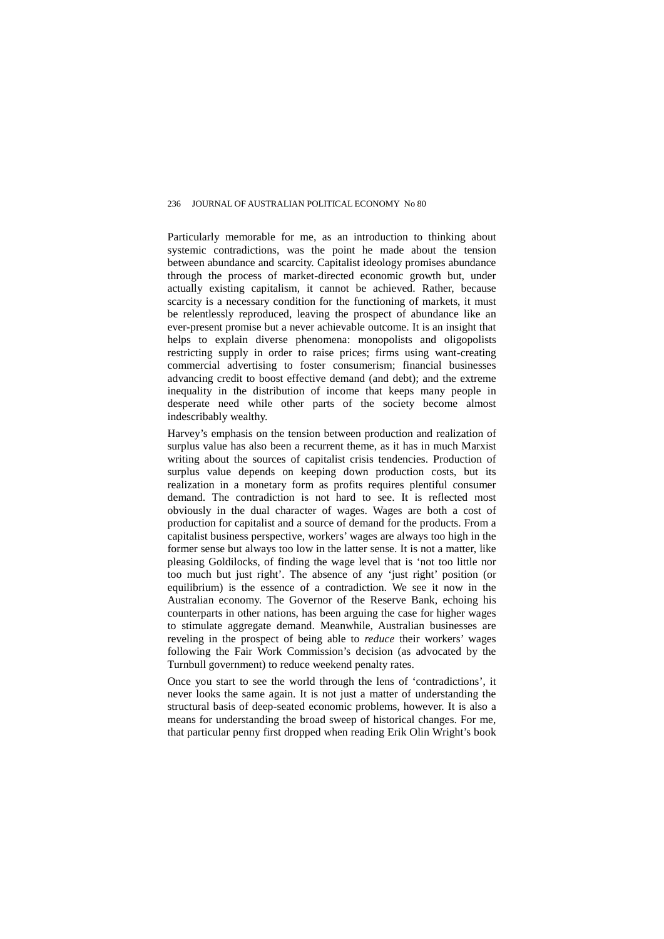Particularly memorable for me, as an introduction to thinking about systemic contradictions, was the point he made about the tension between abundance and scarcity. Capitalist ideology promises abundance through the process of market-directed economic growth but, under actually existing capitalism, it cannot be achieved. Rather, because scarcity is a necessary condition for the functioning of markets, it must be relentlessly reproduced, leaving the prospect of abundance like an ever-present promise but a never achievable outcome. It is an insight that helps to explain diverse phenomena: monopolists and oligopolists restricting supply in order to raise prices; firms using want-creating commercial advertising to foster consumerism; financial businesses advancing credit to boost effective demand (and debt); and the extreme inequality in the distribution of income that keeps many people in desperate need while other parts of the society become almost indescribably wealthy.

Harvey's emphasis on the tension between production and realization of surplus value has also been a recurrent theme, as it has in much Marxist writing about the sources of capitalist crisis tendencies. Production of surplus value depends on keeping down production costs, but its realization in a monetary form as profits requires plentiful consumer demand. The contradiction is not hard to see. It is reflected most obviously in the dual character of wages. Wages are both a cost of production for capitalist and a source of demand for the products. From a capitalist business perspective, workers' wages are always too high in the former sense but always too low in the latter sense. It is not a matter, like pleasing Goldilocks, of finding the wage level that is 'not too little nor too much but just right'. The absence of any 'just right' position (or equilibrium) is the essence of a contradiction. We see it now in the Australian economy. The Governor of the Reserve Bank, echoing his counterparts in other nations, has been arguing the case for higher wages to stimulate aggregate demand. Meanwhile, Australian businesses are reveling in the prospect of being able to *reduce* their workers' wages following the Fair Work Commission's decision (as advocated by the Turnbull government) to reduce weekend penalty rates.

Once you start to see the world through the lens of 'contradictions', it never looks the same again. It is not just a matter of understanding the structural basis of deep-seated economic problems, however. It is also a means for understanding the broad sweep of historical changes. For me, that particular penny first dropped when reading Erik Olin Wright's book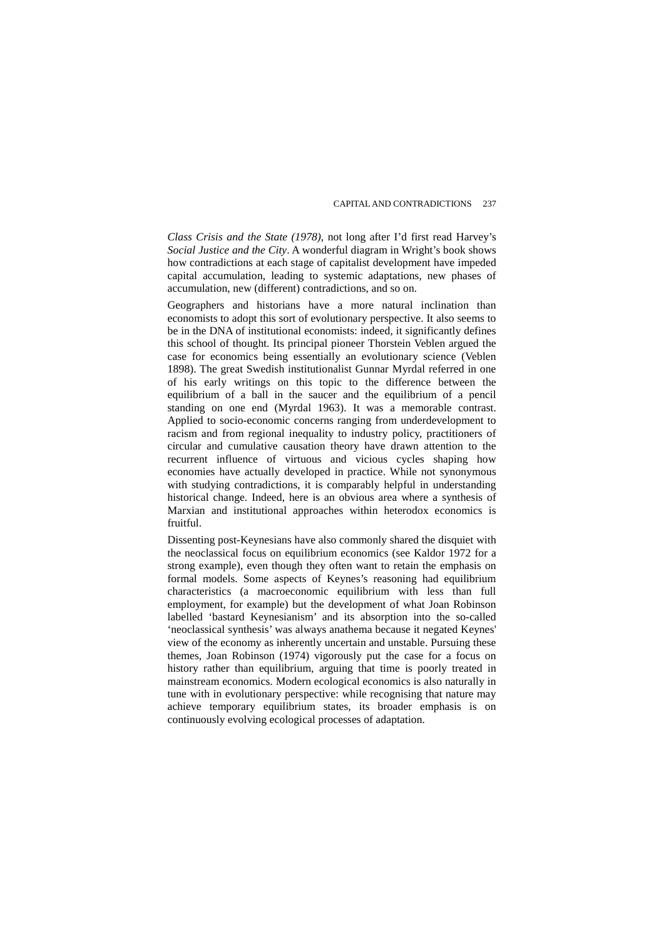*Class Crisis and the State (1978),* not long after I'd first read Harvey's *Social Justice and the City*. A wonderful diagram in Wright's book shows how contradictions at each stage of capitalist development have impeded capital accumulation, leading to systemic adaptations, new phases of accumulation, new (different) contradictions, and so on.

Geographers and historians have a more natural inclination than economists to adopt this sort of evolutionary perspective. It also seems to be in the DNA of institutional economists: indeed, it significantly defines this school of thought. Its principal pioneer Thorstein Veblen argued the case for economics being essentially an evolutionary science (Veblen 1898). The great Swedish institutionalist Gunnar Myrdal referred in one of his early writings on this topic to the difference between the equilibrium of a ball in the saucer and the equilibrium of a pencil standing on one end (Myrdal 1963). It was a memorable contrast. Applied to socio-economic concerns ranging from underdevelopment to racism and from regional inequality to industry policy, practitioners of circular and cumulative causation theory have drawn attention to the recurrent influence of virtuous and vicious cycles shaping how economies have actually developed in practice. While not synonymous with studying contradictions, it is comparably helpful in understanding historical change. Indeed, here is an obvious area where a synthesis of Marxian and institutional approaches within heterodox economics is fruitful.

Dissenting post-Keynesians have also commonly shared the disquiet with the neoclassical focus on equilibrium economics (see Kaldor 1972 for a strong example), even though they often want to retain the emphasis on formal models. Some aspects of Keynes's reasoning had equilibrium characteristics (a macroeconomic equilibrium with less than full employment, for example) but the development of what Joan Robinson labelled 'bastard Keynesianism' and its absorption into the so-called 'neoclassical synthesis' was always anathema because it negated Keynes' view of the economy as inherently uncertain and unstable. Pursuing these themes, Joan Robinson (1974) vigorously put the case for a focus on history rather than equilibrium, arguing that time is poorly treated in mainstream economics. Modern ecological economics is also naturally in tune with in evolutionary perspective: while recognising that nature may achieve temporary equilibrium states, its broader emphasis is on continuously evolving ecological processes of adaptation.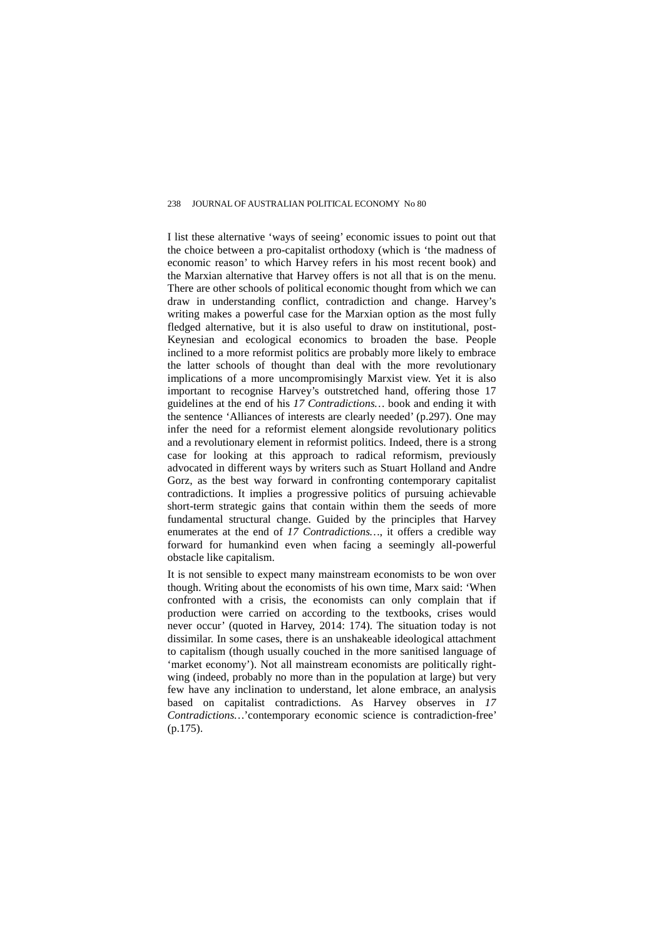I list these alternative 'ways of seeing' economic issues to point out that the choice between a pro-capitalist orthodoxy (which is 'the madness of economic reason' to which Harvey refers in his most recent book) and the Marxian alternative that Harvey offers is not all that is on the menu. There are other schools of political economic thought from which we can draw in understanding conflict, contradiction and change. Harvey's writing makes a powerful case for the Marxian option as the most fully fledged alternative, but it is also useful to draw on institutional, post-Keynesian and ecological economics to broaden the base. People inclined to a more reformist politics are probably more likely to embrace the latter schools of thought than deal with the more revolutionary implications of a more uncompromisingly Marxist view. Yet it is also important to recognise Harvey's outstretched hand, offering those 17 guidelines at the end of his *17 Contradictions…* book and ending it with the sentence 'Alliances of interests are clearly needed' (p.297). One may infer the need for a reformist element alongside revolutionary politics and a revolutionary element in reformist politics. Indeed, there is a strong case for looking at this approach to radical reformism, previously advocated in different ways by writers such as Stuart Holland and Andre Gorz, as the best way forward in confronting contemporary capitalist contradictions. It implies a progressive politics of pursuing achievable short-term strategic gains that contain within them the seeds of more fundamental structural change. Guided by the principles that Harvey enumerates at the end of *17 Contradictions…*, it offers a credible way forward for humankind even when facing a seemingly all-powerful obstacle like capitalism.

It is not sensible to expect many mainstream economists to be won over though. Writing about the economists of his own time, Marx said: 'When confronted with a crisis, the economists can only complain that if production were carried on according to the textbooks, crises would never occur' (quoted in Harvey, 2014: 174). The situation today is not dissimilar. In some cases, there is an unshakeable ideological attachment to capitalism (though usually couched in the more sanitised language of 'market economy'). Not all mainstream economists are politically rightwing (indeed, probably no more than in the population at large) but very few have any inclination to understand, let alone embrace, an analysis based on capitalist contradictions. As Harvey observes in *17 Contradictions…*'contemporary economic science is contradiction-free' (p.175).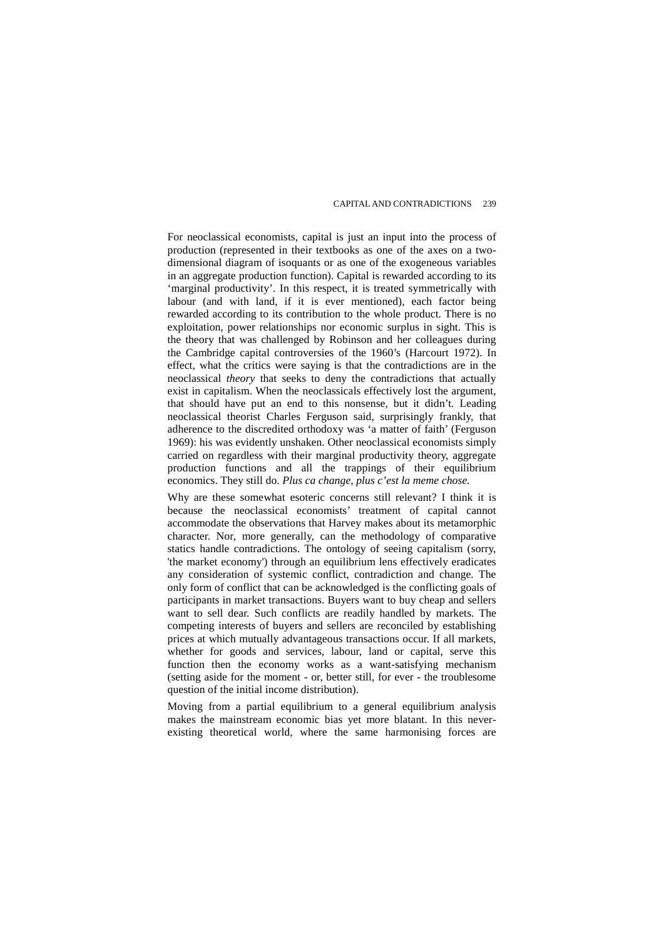For neoclassical economists, capital is just an input into the process of production (represented in their textbooks as one of the axes on a twodimensional diagram of isoquants or as one of the exogeneous variables in an aggregate production function). Capital is rewarded according to its 'marginal productivity'. In this respect, it is treated symmetrically with labour (and with land, if it is ever mentioned), each factor being rewarded according to its contribution to the whole product. There is no exploitation, power relationships nor economic surplus in sight. This is the theory that was challenged by Robinson and her colleagues during the Cambridge capital controversies of the 1960's (Harcourt 1972). In effect, what the critics were saying is that the contradictions are in the neoclassical *theory* that seeks to deny the contradictions that actually exist in capitalism. When the neoclassicals effectively lost the argument, that should have put an end to this nonsense, but it didn't. Leading neoclassical theorist Charles Ferguson said, surprisingly frankly, that adherence to the discredited orthodoxy was 'a matter of faith' (Ferguson 1969): his was evidently unshaken. Other neoclassical economists simply carried on regardless with their marginal productivity theory, aggregate production functions and all the trappings of their equilibrium economics. They still do. *Plus ca change, plus c'est la meme chose.*

Why are these somewhat esoteric concerns still relevant? I think it is because the neoclassical economists' treatment of capital cannot accommodate the observations that Harvey makes about its metamorphic character. Nor, more generally, can the methodology of comparative statics handle contradictions. The ontology of seeing capitalism (sorry, 'the market economy') through an equilibrium lens effectively eradicates any consideration of systemic conflict, contradiction and change. The only form of conflict that can be acknowledged is the conflicting goals of participants in market transactions. Buyers want to buy cheap and sellers want to sell dear. Such conflicts are readily handled by markets. The competing interests of buyers and sellers are reconciled by establishing prices at which mutually advantageous transactions occur. If all markets, whether for goods and services, labour, land or capital, serve this function then the economy works as a want-satisfying mechanism (setting aside for the moment - or, better still, for ever - the troublesome question of the initial income distribution).

Moving from a partial equilibrium to a general equilibrium analysis makes the mainstream economic bias yet more blatant. In this neverexisting theoretical world, where the same harmonising forces are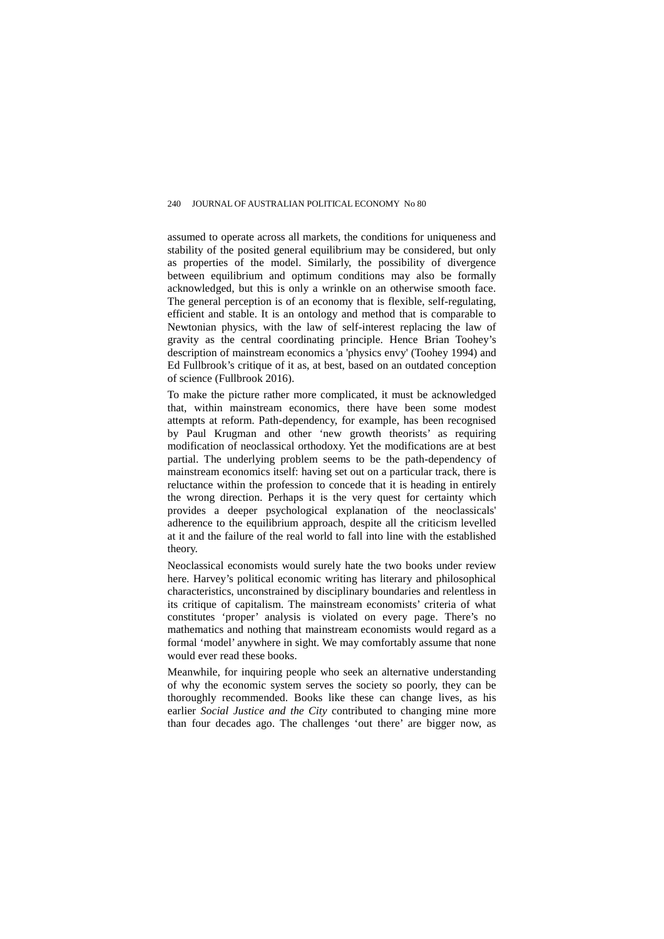assumed to operate across all markets, the conditions for uniqueness and stability of the posited general equilibrium may be considered, but only as properties of the model. Similarly, the possibility of divergence between equilibrium and optimum conditions may also be formally acknowledged, but this is only a wrinkle on an otherwise smooth face. The general perception is of an economy that is flexible, self-regulating, efficient and stable. It is an ontology and method that is comparable to Newtonian physics, with the law of self-interest replacing the law of gravity as the central coordinating principle. Hence Brian Toohey's description of mainstream economics a 'physics envy' (Toohey 1994) and Ed Fullbrook's critique of it as, at best, based on an outdated conception of science (Fullbrook 2016).

To make the picture rather more complicated, it must be acknowledged that, within mainstream economics, there have been some modest attempts at reform. Path-dependency, for example, has been recognised by Paul Krugman and other 'new growth theorists' as requiring modification of neoclassical orthodoxy. Yet the modifications are at best partial. The underlying problem seems to be the path-dependency of mainstream economics itself: having set out on a particular track, there is reluctance within the profession to concede that it is heading in entirely the wrong direction. Perhaps it is the very quest for certainty which provides a deeper psychological explanation of the neoclassicals' adherence to the equilibrium approach, despite all the criticism levelled at it and the failure of the real world to fall into line with the established theory.

Neoclassical economists would surely hate the two books under review here. Harvey's political economic writing has literary and philosophical characteristics, unconstrained by disciplinary boundaries and relentless in its critique of capitalism. The mainstream economists' criteria of what constitutes 'proper' analysis is violated on every page. There's no mathematics and nothing that mainstream economists would regard as a formal 'model' anywhere in sight. We may comfortably assume that none would ever read these books.

Meanwhile, for inquiring people who seek an alternative understanding of why the economic system serves the society so poorly, they can be thoroughly recommended. Books like these can change lives, as his earlier *Social Justice and the City* contributed to changing mine more than four decades ago. The challenges 'out there' are bigger now, as